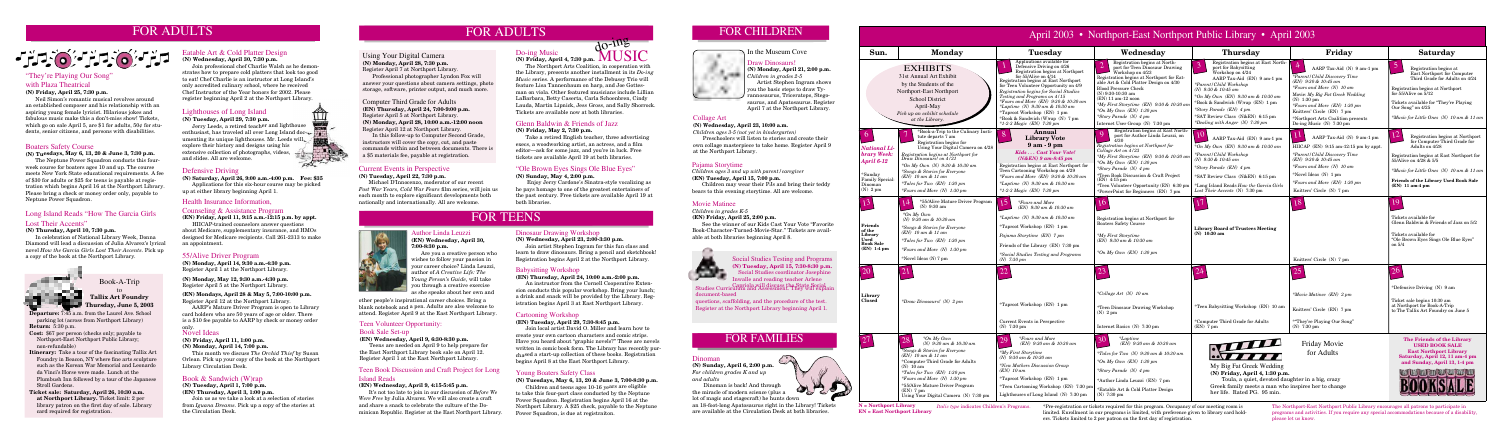#### "Ole Brown Eyes Sings Ole Blue Eyes"

**(N) Sunday, May 4, 2:00 p.m.**

 Enjoy Jerry Cardone's Sinatra-style vocalizing as he pays homage to one of the greatest entertainers of the past century. Free tickets are available April 19 at both libraries.

## FOR ADULTS

# File of File of File

#### 55/Alive Driver Program

**(N) Monday, April 14, 9:30 a.m.-4:30 p.m.** Register April 1 at the Northport Library.

**(N) Monday, May 12, 9:30 a.m.-4:30 p.m.** Register April 5 at the Northport Library.

#### **(EN) Mondays, April 28 & May 5, 7:00-10:00 p.m.** Register April 12 at the Northport Library.

 AARP's Mature Driver Program is open to Library card holders who are 50 years of age or older. There is a \$10 fee payable to AARP by check or money order

#### Book Sale Set-up

#### **(EN) Wednesday, April 9, 6:30-8:30 p.m.**

 Teens are needed on April 9 to help prepare for the East Northport Library book sale on April 12. Register April 1 at the East Northport Library.

#### Babysitting Workshop

#### **(EN) Thursday, April 24, 10:00 a.m.-2:00 p.m.**

 An instructor from the Cornell Cooperative Extension conducts this popular workshop. Bring your lunch; a drink and snack will be provided by the Library. Registration begins April 3 at East Northport Library.

#### Novel Ideas

**(N) Friday, April 11, 1:00 p.m.**

#### **(N) Monday, April 14, 7:00 p.m.**

 This month we discuss *The Orchid Thief* by Susan Orlean. Pick up your copy of the book at the Northport Library Circulation Desk.

#### Book & Sandwich (W)rap

**(N) Tuesday, April 1, 7:00 p.m.**

**(EN) Thursday, April 3, 1:00 p.m.**

Join us as we take a look at a selection of stories from *Iguana Dreams*. Pick up a copy of the stories at the Circulation Desk.

Social Studies Testing and Programs (N) Tuesday, April 15, 7:30-8:30 p.m.<br>Social Studies coordinator Josephine<br>Inmalls and median teacher Arlane Social Studies coordinator Josephine Inwalle and reading teacher Arlene

#### Pajama Storytime

*Children ages 3 and up with parent/caregiver* **(EN) Tuesday, April 15, 7:00 p.m.**

 Children may wear their PJs and bring their teddy bears to this evening storytime. All are welcome.

#### Collage Art

#### **(N) Wednesday, April 23, 10:00 a.m.**

*Children ages 3-5 (not yet in kindergarten)* Preschoolers will listen to stories and create their own collage masterpiece to take home. Register April 9 at the Northport Library.

#### Current Events in Perspective

#### **(N) Tuesday, April 22, 7:30 p.m.**

 Michael D'Innocenzo, moderator of our recent *Post War Years, Cold War Fears* film series, will join us each month to explore significant developments both nationally and internationally. All are welcome.

**N = Northport Library** *Italic type* indicates Children's Programs. **EN = East Northport Library**

\*Pre-registration or tickets required for this program. Occupancy of our meeting room is limited. Enrollment in our programs is limited, with preference given to library card holders. Tickets limited to 2 per patron on the first day of registration.

The Northport-East Northport Public Library encourages all patrons to participate in programs and activities. If you require any special accommodations because of a disability, please let us know.





### Lighthouses of Long Island

**(N) Tuesday, April 29, 7:30 p.m.**

 Jerry Leeds, a retired teacher and lighthouse enthusiast, has traveled all over Long Island docenthusiast, has traveled an over many of the same umenting its unique lighthouses. Mr. Leeds will explore their history and designs using his extensive collection of photographs, videos, and slides. All are welcome.

#### Eatable Art & Cold Platter Design

**(N) Wednesday, April 30, 7:30 p.m.**

Capriola will discuss the State Social Studies Curriculum and Assessment. They will explain document-based

 Join professional chef Charlie Walsh as he demonstrates how to prepare cold platters that look too good to eat! Chef Charlie is an instructor at Long Island's only accredited culinary school, where he received Chef Instructor of the Year honors for 2002. Please register beginning April 2 at the Northport Library.

#### "They're Playing Our Song" with Plaza Theatrical

#### **(N) Friday, April 25, 7:30 p.m.**

 Neil Simon's romantic musical revolves around an established composer and his relationship with an aspiring young female lyricist. Hilarious jokes and fabulous music make this a don't-miss show! Tickets, which go on sale April 5, are \$1 for adults, 50¢ for students, senior citizens, and persons with disabilities.

**Departure:** 7:45 a.m. from the Laurel Ave. School parking lot (across from Northport Library)

**Return:** 5:30 p.m.

- **Cost:** \$67 per person (checks only; payable to Northport-East Northport Public Library; non-refundable)
- **Itinerary:** Take a tour of the fascinating Tallix Art Foundry in Beacon, NY where fine arts sculpture such as the Korean War Memorial and Leonardo da Vinci's Horse were made. Lunch at the Plumbush Inn followed by a tour of the Japanese Stroll Gardens.
- **Ticket sale: Saturday, April 26, 10:30 a.m. at Northport Library.** Ticket limit: 2 per library patron on the first day of sale. Library card required for registration.

Book-A-Trip to

#### **Tallix Art Foundry Thursday, June 5, 2003**

#### Glenn Baldwin & Friends of Jazz

#### **(N) Friday, May 2, 7:30 p.m.**

 Take a retired English teacher, three advertising execs, a woodworking artist, an actress, and a film editor—ask for some jazz, and you're in luck. Free tickets are available April 19 at both libraries.

#### Boaters Safety Course

**(N) Tuesdays, May 6, 13, 20 & June 3, 7:30 p.m.** 

 The Neptune Power Squadron conducts this fourweek course for boaters ages 10 and up. The course meets New York State educational requirements. A fee of \$30 for adults or \$25 for teens is payable at registration which begins April 16 at the Northport Library. Please bring a check or money order only, payable to Neptune Power Squadron.

#### In the Museum Cove

Draw Dinosaurs! **(N) Monday, April 21, 2:00 p.m.** *Children in grades 2-5* Artist Stephen Ingram shows you the basic steps to draw Tyrannosaurus, Triceratops, Stegosaurus, and Apatosaurus. Register April 7 at the Northport Library.

#### Dinoman

**(N) Sunday, April 6, 2:00 p.m.**  *For children grades K and up and adults*

 Dinoman is back! And through the miracle of modern science (plus a lot of magic and stagecraft) he hunts down

an 18-foot-long Apatosaurus right in the Library! Tickets are available at the Circulation Desk at both libraries.

#### Dinosaur Drawing Workshop

**(N) Wednesday, April 23, 2:00-3:30 p.m.** Join artist Stephen Ingram for this fun class and

learn to draw dinosaurs. Bring a pencil and sketchbook! Registration begins April 2 at the Northport Library.

#### Cartooning Workshop

#### **(EN) Tuesday, April 29, 7:30-8:45 p.m.**

 Join local artist David O. Miller and learn how to create your own cartoon characters and comic strips. Have you heard about "graphic novels?" These are novels written in comic book form. The Library has recently purchased a start-up collection of these books. Registration begins April 8 at the East Northport Library.

#### Author Linda Leuzzi

**(EN) Wednesday, April 30, 7:00-8:30 p.m.**

 Are you a creative person who wishes to follow your passion in your career choice? Linda Leuzzi, author of *A Creative Life: The Young Person's Guide*, will take you through a creative exercise as she speaks about her own and

## FOR FAMILIES

# FOR CHILDREN



questions, scaffolding, and the procedure of the test. Register at the Northport Library beginning April 1.

| April 2003 • Northport-East Northport Public Library • April 2003                                              |                                                                                                                                                                                                                                                                                                                                                        |                                                                                                                                                                                                                                                                                                                                                                                                                                                                         |                                                                                                                                                                                                                                                                                                                                                                                                |                                                                                                                                                                                                                                                                                                                                                    |                                                                                                                                                                                                                                                                                                       |                                                                                                                                                                                                                                                                                     |
|----------------------------------------------------------------------------------------------------------------|--------------------------------------------------------------------------------------------------------------------------------------------------------------------------------------------------------------------------------------------------------------------------------------------------------------------------------------------------------|-------------------------------------------------------------------------------------------------------------------------------------------------------------------------------------------------------------------------------------------------------------------------------------------------------------------------------------------------------------------------------------------------------------------------------------------------------------------------|------------------------------------------------------------------------------------------------------------------------------------------------------------------------------------------------------------------------------------------------------------------------------------------------------------------------------------------------------------------------------------------------|----------------------------------------------------------------------------------------------------------------------------------------------------------------------------------------------------------------------------------------------------------------------------------------------------------------------------------------------------|-------------------------------------------------------------------------------------------------------------------------------------------------------------------------------------------------------------------------------------------------------------------------------------------------------|-------------------------------------------------------------------------------------------------------------------------------------------------------------------------------------------------------------------------------------------------------------------------------------|
| Sun.                                                                                                           | <b>Monday</b>                                                                                                                                                                                                                                                                                                                                          | <b>Tuesday</b>                                                                                                                                                                                                                                                                                                                                                                                                                                                          | Wednesday                                                                                                                                                                                                                                                                                                                                                                                      | <b>Thursday</b>                                                                                                                                                                                                                                                                                                                                    | Friday                                                                                                                                                                                                                                                                                                | <b>Saturday</b>                                                                                                                                                                                                                                                                     |
|                                                                                                                | <b>EXHIBITS</b><br>31st Annual Art Exhibit<br>by the Students of the<br>Northport-East Northport<br><b>School District</b><br>April-May<br>Pick up an exhibit schedule<br>at the Library.                                                                                                                                                              | Applications available for<br>Defensive Driving on 4/26<br>Registration begins at Northport<br>for $55/A$ live on $4/14$<br>Registration begins at East Northport<br>for Teen Volunteer Opportunity on 4/9<br>Registration begins for Social Studies<br>Testing and Programs on 4/15<br>$*Fours$ and More (EN) $9:30$ & 10:30 am<br>*Laptime (N) $9:30$ am & 10:30 am<br>*Taproot Workshop (EN) 1 pm<br>*Book & Sandwich (W)rap (N) 7 pm<br>$*1-2-3$ Magic (EN) 7:30 pm | Registration begins at North-<br>port for Teen Dinosaur Drawing<br>Workshop on 4/23<br>Registration begins at Northport for Eat-<br>able Art & Cold Platter Design on 4/30<br><b>Blood Pressure Check</b><br>$(N)$ 9:30-10:30 am<br>$(EN)$ 11 am-12 noon<br>*My First Storytime (EN) 9:30 & 10:30 an<br>*On My Own $(EN)$ 1:30 pm<br>*Story Parade (N) 4 pm<br>Internet User Group (N) 7:30 pm | Registration begins at East North-<br>port for Babysitting<br>Workshop on 4/24<br>AARP Tax-Aid (EN) 9 am-1 pm<br>*Parent/Child Workshop<br>(N) $9:30 \& 10:45$ am<br>*On My Own (EN) $9:30$ am & 10:30 am<br>*Book & Sandwich (W)rap (EN) 1 pm<br>*Story Parade (EN) 4 pm<br>*SAT Review Class (N&EN) 6:15 pm<br>*Dealing with Anger $(N)$ 7:30 pm | AARP Tax-Aid (N) 9 am-1 pm<br>*Parent/Child Discovery Time<br>(EN) 9:30 & 10:45 am<br>*Fours and More (N) 10 am<br>Movie: My Big Fat Greek Wedding<br>$(N)$ 1:30 pm<br>*Fours and More (EN) 1:30 pm<br>Knitters' Circle (EN) 7 pm<br>*Northport Arts Coalition presents<br>Do-ing Music $(N)$ 7:30 pm | Registration begins at<br>East Northport for Computer<br>Third Grade for Adults on 4/24<br>Registration begins at Northport<br>for $55/$ Alive on $5/12$<br>Tickets available for "They're Playing"<br>Our Song" on 4/25<br>*Music for Little Ones (N) 10 am & 11 an                |
| <b>National Li-</b><br>brary Week:<br><b>April 6-12</b><br>*Sunday<br>Family Special:<br>Dinoman<br>$(N)$ 2 pm | *Book-a-Trip to the Culinary Insti-<br>tute departs 7 am<br>Registration begins for<br>Using Your Digital Camera on 4/28<br>Registration begins at Northport for<br>Draw Dinosaurs! on 4/21<br>*On My Own (N) 9:30 & 10:30 am<br>*Songs & Stories for Everyone<br>$(EN)$ 10 am & 11 am<br>*Tales for Two (EN) 1:30 pm<br>*Fours and More $(N)$ 1:30 pm | Annual<br>$\circ$<br><b>Library Vote</b><br>$9am - 9pm$<br>Kids Cast Your Vote!<br>$(N&EN)$ 9 am-8:45 pm<br>Registration begins at East Northport for<br>Teen Cartooning Workshop on 4/29<br>$*Fours$ and More (EN) 9:30 & 10:30 am<br>*Laptime (N) $9:30$ am & 10:30 am<br>$*1-2-3$ Magic (EN) 7:30 pm                                                                                                                                                                 | Registration begins at East North-<br>port for Author Linda Leuzzi, on<br>4/30<br>Registration begins at Northport for<br>Collage Art on 4/23<br>*My First Storytime (EN) 9:30 & 10:30 an<br>*On My Own $(EN)$ 1:30 pm<br>*Story Parade (N) 4 pm<br>*Teen Book Discussion & Craft Project<br>$(EN)$ 4:15 pm<br>*Teen Volunteer Opportunity (EN) 6:30 pm<br>*PowerPoint for Beginners (EN) 7 pm | 10<br>AARP Tax-Aid (EN) 9 am-1 pm<br>*On My Own (EN) 9:30 am & 10:30 am<br>*Parent/Child Workshop<br>(N) 9:30 & 10:45 am<br>*Story Parade $(EN)$ 4 pm<br>*SAT Review Class (N&EN) 6:15 pm<br>*Long Island Reads How the Garcia Girls<br>Lost Their Accents (N) 7:30 pm                                                                             | AARP Tax-Aid (N) 9 am-1 pm<br>HIICAP (EN) 9:15 am-12:15 pm by appt.<br>*Parent/Child Discovery Time<br>(EN) 9:30 & 10:45 am<br>*Fours and More (N) 10 am<br>*Novel Ideas (N) 1 pm<br>*Fours and More (EN) 1:30 pm<br>Knitters' Circle (N) 7 pm                                                        | $\mathbf{L}$<br>Registration begins at Northport<br>for Computer Third Grade for<br>Adults on 4/28<br>Registration begins at East Northport for<br>55/Alive on $4/28 & 5/5$<br>*Music for Little Ones (N) 10 am & 11 an<br>Friends of the Library Used Book Sale<br>(EN) 11 am-4 pm |
| Friends<br>of the<br>Library<br>Used<br><b>Book Sale</b><br>$(EN)$ 1-4 pm                                      | *55/Alive Mature Driver Program<br>$(N)$ 9:30 am<br>$*On$ My Own<br>(N) $9.30 \text{ am} \& 10.30 \text{ am}$<br>*Songs & Stories for Everyone<br>$(EN)$ 10 am & 11 am<br>$*Tales$ for Two (EN) 1:30 pm<br>*Fours and More $(N)$ 1:30 pm<br>*Novel Ideas (N) 7 pm                                                                                      | ۱5<br>$*Fours$ and More<br>(EN) 9:30 am & 10:30 am<br>*Laptime (N) $9:30$ am & 10:30 am<br>*Taproot Workshop (EN) 1 pm<br>Pajama Storytime (EN) 7 pm<br>Friends of the Library (EN) 7:30 pm<br>*Social Studies Testing and Programs<br>$(N)$ 7:30 pm                                                                                                                                                                                                                    | 10<br>Registration begins at Northport for<br><b>Boaters Safety Course</b><br>*My First Storytime<br>$(EN)$ 9:30 am & 10:30 am<br>*On My Own $(EN)$ 1:30 pm                                                                                                                                                                                                                                    | <b>Library Board of Trustees Meeting</b><br>$(N)$ 10:30 am                                                                                                                                                                                                                                                                                         | Knitters' Circle (N) 7 pm                                                                                                                                                                                                                                                                             | Tickets available for<br>Glenn Baldwin & Friends of Jazz on 5/2<br>Tickets available for<br>"Ole Brown Eyes Sings Ole Blue Eyes"<br>on $5/4$                                                                                                                                        |
|                                                                                                                |                                                                                                                                                                                                                                                                                                                                                        | $\cap$                                                                                                                                                                                                                                                                                                                                                                                                                                                                  | $2^{\degree}$                                                                                                                                                                                                                                                                                                                                                                                  |                                                                                                                                                                                                                                                                                                                                                    |                                                                                                                                                                                                                                                                                                       | 26<br>*Defensive Driving (N) 9 am                                                                                                                                                                                                                                                   |
| Library<br><b>Closed</b>                                                                                       | *Draw Dinosaurs! (N) 2 pm                                                                                                                                                                                                                                                                                                                              | *Taproot Workshop (EN) 1 pm<br>Current Events in Perspective<br>$(N)$ 7:30 pm                                                                                                                                                                                                                                                                                                                                                                                           | *Collage Art (N) 10 am<br>*Teen Dinosaur Drawing Workshop<br>$(N)$ 2 pm<br>Internet Basics (N) 7:30 pm                                                                                                                                                                                                                                                                                         | *Teen Babysitting Workshop (EN) 10 am<br>*Computer Third Grade for Adults<br>$(EN)$ 7 pm                                                                                                                                                                                                                                                           | *Movie Matinee (EN) 2 pm<br>Knitters' Circle (EN) 7 pm<br>*"They're Playing Our Song"<br>$(N)$ 7:30 pm                                                                                                                                                                                                | Ticket sale begins 10:30 am<br>at Northport for Book-A-Trip<br>to The Tallix Art Foundry on June 5                                                                                                                                                                                  |
|                                                                                                                | $*On$ My Own<br>28<br>$(N)$ 9:30 am & 10:30 am<br>*Songs & Stories for Everyone<br>$(EN)$ 10 am & 11 am<br>*Computer Third Grade for Adults<br>$(N)$ 10 am<br>$*Tales$ for Two (EN) 1:30 pm<br>$*Fours$ and More (N) 1:30 pm<br>*55/Alive Mature Driver Program<br>$(EN)$ 7 pm<br>Using Your Digital Camera (N) 7:30 pm                                | <i>*Fours and More</i><br>29<br>(EN) 9:30 am & 10:30 am<br><i>*My First Storytime</i><br>$(N)$ 9:30 am & 10:30 am<br><i>*New Mothers Discussion Group</i><br>$(EN)$ 10 am<br>*Taproot Workshop (EN) 1 pm<br>*Teen Cartooning Workshop (EN) 7:30 pm<br>Lighthouses of Long Island (N) 7:30 pm                                                                                                                                                                            | 30<br>$*Laptime$<br>$(EN)$ 9:30 am & 10:30 am<br><i>*Tales for Two</i> (N) $9:30$ am & $10:30$ am<br>*On My Own $(EN)$ 1:30 pm<br>*Story Parade $(N)$ 4 pm<br>*Author Linda Leuzzi (EN) 7 pm<br>*Eatable Art & Cold Platter Design<br>$(N)$ 7:30 pm                                                                                                                                            | My Big Fat Greek Wedding<br>(N) Friday, April 4, 1:30 p.m.<br>Toula, a quiet, devoted daughter in a big, crazy<br>Greek family meets a man who inspires her to change<br>her life. Rated PG. 95 min.                                                                                                                                               | <b>Friday Movie</b><br>for Adults                                                                                                                                                                                                                                                                     | The Friends of the Library<br><b>USED BOOK SALE</b><br><b>East Northport Library</b><br>Saturday, April 12, 11 am-4 pm<br>and Sunday, April 13, 1-4 pm                                                                                                                              |

### Young Boaters Safety Class

**(N) Tuesdays, May 6, 13, 20 & June 3, 7:00-8:30 p.m.** Children and teens ages 10-16 years are eligible to take this four-part class conducted by the Neptune Power Squadron. Registration begins April 16 at the

Northport Library. A \$25 check, payable to the Neptune Power Squadron, is due at registraiton.

#### Computer Third Grade for Adults **(EN) Thursday, April 24, 7:00-9:00 p.m.** Register April 5 at Northport Library. **(N) Monday, April 28, 10:00 a.m.-12:00 noon** Register April 12 at Northport Library.

 In this follow-up to Computer Second Grade, instructors will cover the copy, cut, and paste commands within and between documents. There is a \$5 materials fee, payable at registration.

### Using Your Digital Camera

**(N) Monday, April 28, 7:30 p.m.** Register April 7 at Northport Library.

 Professional photographer Lyndon Fox will answer your questions about camera settings, photo storage, software, printer output, and much more.

other people's inspirational career choices. Bring a blank notebook and a pen. Adults are also welcome to attend. Register April 9 at the East Northport Library.

#### Teen Volunteer Opportunity:

## FOR TEENS

## FOR ADULTS

#### Long Island Reads "How The Garcia Girls Lost Their Accents"

#### **(N) Thursday, April 10, 7:30 p.m.**

 In celebration of National Library Week, Donna Diamond will lead a discussion of Julia Alvarez's lyrical novel *How the Garcia Girls Lost Their Accents*. Pick up a copy of the book at the Northport Library.



#### Health Insurance Information,

#### Counseling & Assistance Program

**(EN) Friday, April 11, 9:15 a.m.-12:15 p.m. by appt.**

HIICAP-trained counselors answer questions about Medicare, supplementary insurance, and HMOs designed for Medicare recipients. Call 261-2313 to make an appointment.

#### Do-ing Music

 The Northport Arts Coalition, in cooperation with the Library, presents another installment in its *Do-ing Music* series. A performance of the Debussy Trio will feature Lisa Tannenbaum on harp, and Joe Gottesman on viola. Other featured musicians include Lillian LaBarbara, Betty Caserta, Carla Schoenbren, Cindy Lauda, Martin Lipnick, Jess Gross, and Sally Shorrock. Tickets are available now at both libraries.



#### Defensive Driving

**(N) Saturday, April 26, 9:00 a.m.-4:00 p.m. Fee: \$35**  Applications for this six-hour course may be picked up at either library beginning April 1.

#### Movie Matinee

*Children in grades K-5*

**(EN) Friday, April 25, 2:00 p.m.**

 See the winner of our Kids Cast Your Vote "Favorite Book-Character-Turned-Movie-Star." Tickets are available at both libraries beginning April 8.



#### Teen Book Discussion and Craft Project for Long Island Reads

#### **(EN) Wednesday, April 9, 4:15-5:45 p.m.**

 It's not too late to join in our discussion of *Before We Were Free* by Julia Alvarez. We will also create a craft and share a snack to celebrate the culture of the Dominican Republic. Register at the East Northport Library.